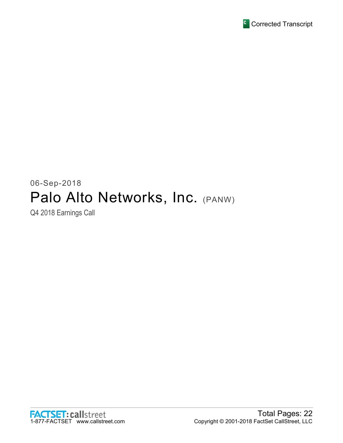

# 06-Sep-2018 Palo Alto Networks, Inc. (PANW)

Q4 2018 Earnings Call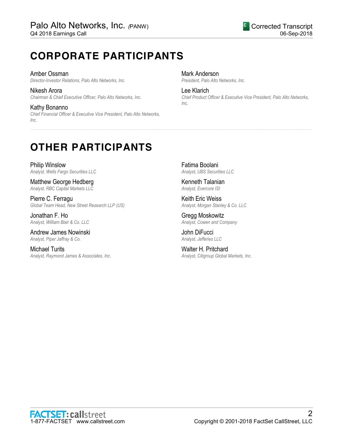### **CORPORATE PARTICIPANTS**

Amber Ossman *Director-Investor Relations, Palo Alto Networks, Inc.*

Nikesh Arora *Chairman & Chief Executive Officer, Palo Alto Networks, Inc.*

Kathy Bonanno *Chief Financial Officer & Executive Vice President, Palo Alto Networks, Inc.*

Mark Anderson

*President, Palo Alto Networks, Inc.*

Lee Klarich

*Chief Product Officer & Executive Vice President, Palo Alto Networks, Inc.*

## **OTHER PARTICIPANTS**

Philip Winslow *Analyst, Wells Fargo Securities LLC*

Matthew George Hedberg *Analyst, RBC Capital Markets LLC*

Pierre C. Ferragu *Global Team Head, New Street Research LLP (US)*

Jonathan F. Ho *Analyst, William Blair & Co. LLC*

Andrew James Nowinski *Analyst, Piper Jaffray & Co.*

Michael Turits *Analyst, Raymond James & Associates, Inc.*

Fatima Boolani *Analyst, UBS Securities LLC*

Kenneth Talanian *Analyst, Evercore ISI*

Keith Eric Weiss *Analyst, Morgan Stanley & Co. LLC*

Gregg Moskowitz *Analyst, Cowen and Company*

John DiFucci *Analyst, Jefferies LLC*

Walter H. Pritchard *Analyst, Citigroup Global Markets, Inc.*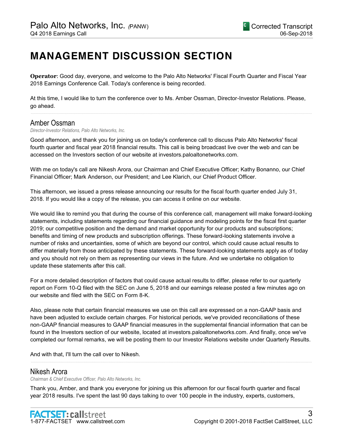### **MANAGEMENT DISCUSSION SECTION**

**Operator**: Good day, everyone, and welcome to the Palo Alto Networks' Fiscal Fourth Quarter and Fiscal Year 2018 Earnings Conference Call. Today's conference is being recorded.

At this time, I would like to turn the conference over to Ms. Amber Ossman, Director-Investor Relations. Please, go ahead.

#### Amber Ossman

*Director-Investor Relations, Palo Alto Networks, Inc.*

Good afternoon, and thank you for joining us on today's conference call to discuss Palo Alto Networks' fiscal fourth quarter and fiscal year 2018 financial results. This call is being broadcast live over the web and can be accessed on the Investors section of our website at investors.paloaltonetworks.com.

With me on today's call are Nikesh Arora, our Chairman and Chief Executive Officer; Kathy Bonanno, our Chief Financial Officer; Mark Anderson, our President; and Lee Klarich, our Chief Product Officer.

This afternoon, we issued a press release announcing our results for the fiscal fourth quarter ended July 31, 2018. If you would like a copy of the release, you can access it online on our website.

We would like to remind you that during the course of this conference call, management will make forward-looking statements, including statements regarding our financial guidance and modeling points for the fiscal first quarter 2019; our competitive position and the demand and market opportunity for our products and subscriptions; benefits and timing of new products and subscription offerings. These forward-looking statements involve a number of risks and uncertainties, some of which are beyond our control, which could cause actual results to differ materially from those anticipated by these statements. These forward-looking statements apply as of today and you should not rely on them as representing our views in the future. And we undertake no obligation to update these statements after this call.

For a more detailed description of factors that could cause actual results to differ, please refer to our quarterly report on Form 10-Q filed with the SEC on June 5, 2018 and our earnings release posted a few minutes ago on our website and filed with the SEC on Form 8-K.

Also, please note that certain financial measures we use on this call are expressed on a non-GAAP basis and have been adjusted to exclude certain charges. For historical periods, we've provided reconciliations of these non-GAAP financial measures to GAAP financial measures in the supplemental financial information that can be found in the Investors section of our website, located at investors.paloaltonetworks.com. And finally, once we've completed our formal remarks, we will be posting them to our Investor Relations website under Quarterly Results.

And with that, I'll turn the call over to Nikesh.

#### Nikesh Arora

*Chairman & Chief Executive Officer, Palo Alto Networks, Inc.*

Thank you, Amber, and thank you everyone for joining us this afternoon for our fiscal fourth quarter and fiscal year 2018 results. I've spent the last 90 days talking to over 100 people in the industry, experts, customers,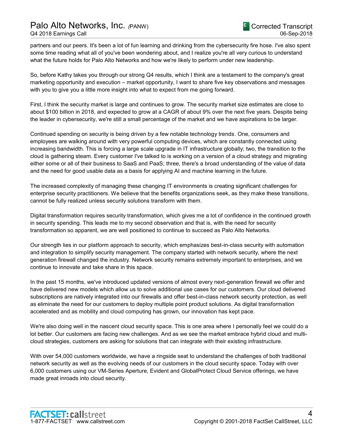partners and our peers. It's been a lot of fun learning and drinking from the cybersecurity fire hose. I've also spent some time reading what all of you've been wondering about, and I realize you're all very curious to understand what the future holds for Palo Alto Networks and how we're likely to perform under new leadership.

So, before Kathy takes you through our strong Q4 results, which I think are a testament to the company's great marketing opportunity and execution – market opportunity, I want to share five key observations and messages with you to give you a little more insight into what to expect from me going forward.

First, I think the security market is large and continues to grow. The security market size estimates are close to about \$100 billion in 2018, and expected to grow at a CAGR of about 9% over the next five years. Despite being the leader in cybersecurity, we're still a small percentage of the market and we have aspirations to be larger.

Continued spending on security is being driven by a few notable technology trends. One, consumers and employees are walking around with very powerful computing devices, which are constantly connected using increasing bandwidth. This is forcing a large scale upgrade in IT infrastructure globally; two, the transition to the cloud is gathering steam. Every customer I've talked to is working on a version of a cloud strategy and migrating either some or all of their business to SaaS and PaaS; three, there's a broad understanding of the value of data and the need for good usable data as a basis for applying AI and machine learning in the future.

The increased complexity of managing these changing IT environments is creating significant challenges for enterprise security practitioners. We believe that the benefits organizations seek, as they make these transitions, cannot be fully realized unless security solutions transform with them.

Digital transformation requires security transformation, which gives me a lot of confidence in the continued growth in security spending. This leads me to my second observation and that is, with the need for security transformation so apparent, we are well positioned to continue to succeed as Palo Alto Networks.

Our strength lies in our platform approach to security, which emphasizes best-in-class security with automation and integration to simplify security management. The company started with network security, where the next generation firewall changed the industry. Network security remains extremely important to enterprises, and we continue to innovate and take share in this space.

In the past 15 months, we've introduced updated versions of almost every next-generation firewall we offer and have delivered new models which allow us to solve additional use cases for our customers. Our cloud delivered subscriptions are natively integrated into our firewalls and offer best-in-class network security protection, as well as eliminate the need for our customers to deploy multiple point product solutions. As digital transformation accelerated and as mobility and cloud computing has grown, our innovation has kept pace.

We're also doing well in the nascent cloud security space. This is one area where I personally feel we could do a lot better. Our customers are facing new challenges. And as we see the market embrace hybrid cloud and multicloud strategies, customers are asking for solutions that can integrate with their existing infrastructure.

With over 54,000 customers worldwide, we have a ringside seat to understand the challenges of both traditional network security as well as the evolving needs of our customers in the cloud security space. Today with over 6,000 customers using our VM-Series Aperture, Evident and GlobalProtect Cloud Service offerings, we have made great inroads into cloud security.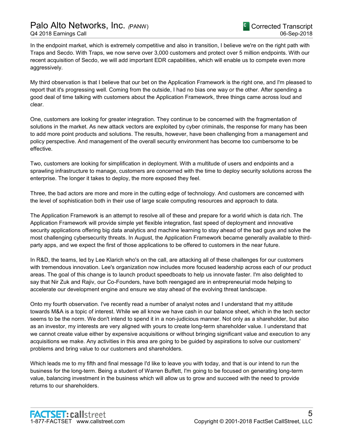In the endpoint market, which is extremely competitive and also in transition, I believe we're on the right path with Traps and Secdo. With Traps, we now serve over 3,000 customers and protect over 5 million endpoints. With our recent acquisition of Secdo, we will add important EDR capabilities, which will enable us to compete even more aggressively.

My third observation is that I believe that our bet on the Application Framework is the right one, and I'm pleased to report that it's progressing well. Coming from the outside, I had no bias one way or the other. After spending a good deal of time talking with customers about the Application Framework, three things came across loud and clear.

One, customers are looking for greater integration. They continue to be concerned with the fragmentation of solutions in the market. As new attack vectors are exploited by cyber criminals, the response for many has been to add more point products and solutions. The results, however, have been challenging from a management and policy perspective. And management of the overall security environment has become too cumbersome to be effective.

Two, customers are looking for simplification in deployment. With a multitude of users and endpoints and a sprawling infrastructure to manage, customers are concerned with the time to deploy security solutions across the enterprise. The longer it takes to deploy, the more exposed they feel.

Three, the bad actors are more and more in the cutting edge of technology. And customers are concerned with the level of sophistication both in their use of large scale computing resources and approach to data.

The Application Framework is an attempt to resolve all of these and prepare for a world which is data rich. The Application Framework will provide simple yet flexible integration, fast speed of deployment and innovative security applications offering big data analytics and machine learning to stay ahead of the bad guys and solve the most challenging cybersecurity threats. In August, the Application Framework became generally available to thirdparty apps, and we expect the first of those applications to be offered to customers in the near future.

In R&D, the teams, led by Lee Klarich who's on the call, are attacking all of these challenges for our customers with tremendous innovation. Lee's organization now includes more focused leadership across each of our product areas. The goal of this change is to launch product speedboats to help us innovate faster. I'm also delighted to say that Nir Zuk and Rajiv, our Co-Founders, have both reengaged are in entrepreneurial mode helping to accelerate our development engine and ensure we stay ahead of the evolving threat landscape.

Onto my fourth observation. I've recently read a number of analyst notes and I understand that my attitude towards M&A is a topic of interest. While we all know we have cash in our balance sheet, which in the tech sector seems to be the norm. We don't intend to spend it in a non-judicious manner. Not only as a shareholder, but also as an investor, my interests are very aligned with yours to create long-term shareholder value. I understand that we cannot create value either by expensive acquisitions or without bringing significant value and execution to any acquisitions we make. Any activities in this area are going to be guided by aspirations to solve our customers' problems and bring value to our customers and shareholders.

Which leads me to my fifth and final message I'd like to leave you with today, and that is our intend to run the business for the long-term. Being a student of Warren Buffett, I'm going to be focused on generating long-term value, balancing investment in the business which will allow us to grow and succeed with the need to provide returns to our shareholders.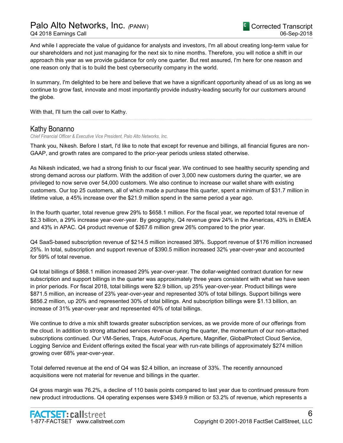And while I appreciate the value of guidance for analysts and investors, I'm all about creating long-term value for our shareholders and not just managing for the next six to nine months. Therefore, you will notice a shift in our approach this year as we provide guidance for only one quarter. But rest assured, I'm here for one reason and one reason only that is to build the best cybersecurity company in the world.

In summary, I'm delighted to be here and believe that we have a significant opportunity ahead of us as long as we continue to grow fast, innovate and most importantly provide industry-leading security for our customers around the globe.

With that, I'll turn the call over to Kathy.

#### Kathy Bonanno

*Chief Financial Officer & Executive Vice President, Palo Alto Networks, Inc.*

Thank you, Nikesh. Before I start, I'd like to note that except for revenue and billings, all financial figures are non-GAAP, and growth rates are compared to the prior-year periods unless stated otherwise.

As Nikesh indicated, we had a strong finish to our fiscal year. We continued to see healthy security spending and strong demand across our platform. With the addition of over 3,000 new customers during the quarter, we are privileged to now serve over 54,000 customers. We also continue to increase our wallet share with existing customers. Our top 25 customers, all of which made a purchase this quarter, spent a minimum of \$31.7 million in lifetime value, a 45% increase over the \$21.9 million spend in the same period a year ago.

In the fourth quarter, total revenue grew 29% to \$658.1 million. For the fiscal year, we reported total revenue of \$2.3 billion, a 29% increase year-over-year. By geography, Q4 revenue grew 24% in the Americas, 43% in EMEA and 43% in APAC. Q4 product revenue of \$267.6 million grew 26% compared to the prior year.

Q4 SaaS-based subscription revenue of \$214.5 million increased 38%. Support revenue of \$176 million increased 25%. In total, subscription and support revenue of \$390.5 million increased 32% year-over-year and accounted for 59% of total revenue.

Q4 total billings of \$868.1 million increased 29% year-over-year. The dollar-weighted contract duration for new subscription and support billings in the quarter was approximately three years consistent with what we have seen in prior periods. For fiscal 2018, total billings were \$2.9 billion, up 25% year-over-year. Product billings were \$871.5 million, an increase of 23% year-over-year and represented 30% of total billings. Support billings were \$856.2 million, up 20% and represented 30% of total billings. And subscription billings were \$1.13 billion, an increase of 31% year-over-year and represented 40% of total billings.

We continue to drive a mix shift towards greater subscription services, as we provide more of our offerings from the cloud. In addition to strong attached services revenue during the quarter, the momentum of our non-attached subscriptions continued. Our VM-Series, Traps, AutoFocus, Aperture, Magnifier, GlobalProtect Cloud Service, Logging Service and Evident offerings exited the fiscal year with run-rate billings of approximately \$274 million growing over 68% year-over-year.

Total deferred revenue at the end of Q4 was \$2.4 billion, an increase of 33%. The recently announced acquisitions were not material for revenue and billings in the quarter.

Q4 gross margin was 76.2%, a decline of 110 basis points compared to last year due to continued pressure from new product introductions. Q4 operating expenses were \$349.9 million or 53.2% of revenue, which represents a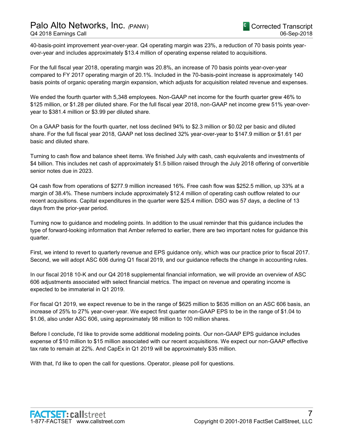40-basis-point improvement year-over-year. Q4 operating margin was 23%, a reduction of 70 basis points yearover-year and includes approximately \$13.4 million of operating expense related to acquisitions.

For the full fiscal year 2018, operating margin was 20.8%, an increase of 70 basis points year-over-year compared to FY 2017 operating margin of 20.1%. Included in the 70-basis-point increase is approximately 140 basis points of organic operating margin expansion, which adjusts for acquisition related revenue and expenses.

We ended the fourth quarter with 5,348 employees. Non-GAAP net income for the fourth quarter grew 46% to \$125 million, or \$1.28 per diluted share. For the full fiscal year 2018, non-GAAP net income grew 51% year-overyear to \$381.4 million or \$3.99 per diluted share.

On a GAAP basis for the fourth quarter, net loss declined 94% to \$2.3 million or \$0.02 per basic and diluted share. For the full fiscal year 2018, GAAP net loss declined 32% year-over-year to \$147.9 million or \$1.61 per basic and diluted share.

Turning to cash flow and balance sheet items. We finished July with cash, cash equivalents and investments of \$4 billion. This includes net cash of approximately \$1.5 billion raised through the July 2018 offering of convertible senior notes due in 2023.

Q4 cash flow from operations of \$277.9 million increased 16%. Free cash flow was \$252.5 million, up 33% at a margin of 38.4%. These numbers include approximately \$12.4 million of operating cash outflow related to our recent acquisitions. Capital expenditures in the quarter were \$25.4 million. DSO was 57 days, a decline of 13 days from the prior-year period.

Turning now to guidance and modeling points. In addition to the usual reminder that this guidance includes the type of forward-looking information that Amber referred to earlier, there are two important notes for guidance this quarter.

First, we intend to revert to quarterly revenue and EPS guidance only, which was our practice prior to fiscal 2017. Second, we will adopt ASC 606 during Q1 fiscal 2019, and our guidance reflects the change in accounting rules.

In our fiscal 2018 10-K and our Q4 2018 supplemental financial information, we will provide an overview of ASC 606 adjustments associated with select financial metrics. The impact on revenue and operating income is expected to be immaterial in Q1 2019.

For fiscal Q1 2019, we expect revenue to be in the range of \$625 million to \$635 million on an ASC 606 basis, an increase of 25% to 27% year-over-year. We expect first quarter non-GAAP EPS to be in the range of \$1.04 to \$1.06, also under ASC 606, using approximately 98 million to 100 million shares.

Before I conclude, I'd like to provide some additional modeling points. Our non-GAAP EPS guidance includes expense of \$10 million to \$15 million associated with our recent acquisitions. We expect our non-GAAP effective tax rate to remain at 22%. And CapEx in Q1 2019 will be approximately \$35 million.

With that, I'd like to open the call for questions. Operator, please poll for questions.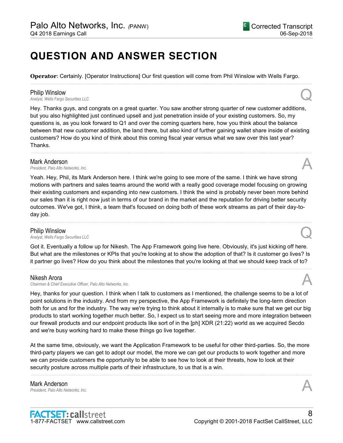### **QUESTION AND ANSWER SECTION**

**Operator**: Certainly. [Operator Instructions] Our first question will come from Phil Winslow with Wells Fargo.

#### Philip Winslow

*Analyst, Wells Fargo Securities LLC* Q

Hey. Thanks guys, and congrats on a great quarter. You saw another strong quarter of new customer additions, but you also highlighted just continued upsell and just penetration inside of your existing customers. So, my questions is, as you look forward to Q1 and over the coming quarters here, how you think about the balance between that new customer addition, the land there, but also kind of further gaining wallet share inside of existing customers? How do you kind of think about this coming fiscal year versus what we saw over this last year? Thanks.

#### Mark Anderson

**Mark Anderson**<br>President, Palo Alto Networks, Inc.

Yeah. Hey, Phil, its Mark Anderson here. I think we're going to see more of the same. I think we have strong motions with partners and sales teams around the world with a really good coverage model focusing on growing their existing customers and expanding into new customers. I think the wind is probably never been more behind our sales than it is right now just in terms of our brand in the market and the reputation for driving better security outcomes. We've got, I think, a team that's focused on doing both of these work streams as part of their day-today job.

#### Philip Winslow

*Analyst, Wells Fargo Securities LLC* Q

Got it. Eventually a follow up for Nikesh. The App Framework going live here. Obviously, it's just kicking off here. But what are the milestones or KPIs that you're looking at to show the adoption of that? Is it customer go lives? Is it partner go lives? How do you think about the milestones that you're looking at that we should keep track of to?

#### Nikesh Arora

*Chairman & Chief Executive Officer, Palo Alto Networks, Inc.* A

Hey, thanks for your question. I think when I talk to customers as I mentioned, the challenge seems to be a lot of point solutions in the industry. And from my perspective, the App Framework is definitely the long-term direction both for us and for the industry. The way we're trying to think about it internally is to make sure that we get our big products to start working together much better. So, I expect us to start seeing more and more integration between our firewall products and our endpoint products like sort of in the [ph] XDR (21:22) world as we acquired Secdo and we're busy working hard to make these things go live together.

At the same time, obviously, we want the Application Framework to be useful for other third-parties. So, the more third-party players we can get to adopt our model, the more we can get our products to work together and more we can provide customers the opportunity to be able to see how to look at their threats, how to look at their security posture across multiple parts of their infrastructure, to us that is a win.

**Mark Anderson**<br>*President. Palo Alto Networks. Inc.* **Mark Anderson**<br>President, Palo Alto Networks, Inc.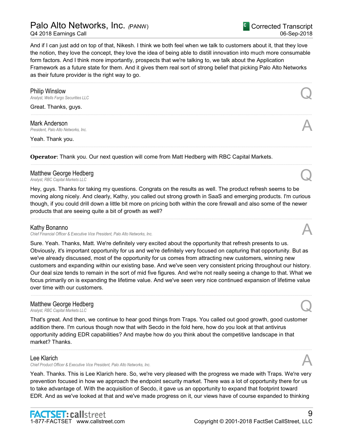And if I can just add on top of that, Nikesh. I think we both feel when we talk to customers about it, that they love the notion, they love the concept, they love the idea of being able to distill innovation into much more consumable form factors. And I think more importantly, prospects that we're talking to, we talk about the Application Framework as a future state for them. And it gives them real sort of strong belief that picking Palo Alto Networks as their future provider is the right way to go.

**Philip Winslow**<br>Analyst, Wells Fargo Securities LLC *Analyst, Wells Fargo Securities LLC* Q

Great. Thanks, guys.

Mark Anderson **Mark Anderson**<br>President, Palo Alto Networks, Inc.

Yeah. Thank you.

**Operator**: Thank you. Our next question will come from Matt Hedberg with RBC Capital Markets.

#### Matthew George Hedberg **Matthew George Hedberg**<br> *Analyst, RBC Capital Markets LLC*

Hey, guys. Thanks for taking my questions. Congrats on the results as well. The product refresh seems to be moving along nicely. And clearly, Kathy, you called out strong growth in SaaS and emerging products. I'm curious though, if you could drill down a little bit more on pricing both within the core firewall and also some of the newer products that are seeing quite a bit of growth as well?

#### Kathy Bonanno

*Chief Financial Officer & Executive Vice President, Palo Alto Networks, Inc.* A

Sure. Yeah. Thanks, Matt. We're definitely very excited about the opportunity that refresh presents to us. Obviously, it's important opportunity for us and we're definitely very focused on capturing that opportunity. But as we've already discussed, most of the opportunity for us comes from attracting new customers, winning new customers and expanding within our existing base. And we've seen very consistent pricing throughout our history. Our deal size tends to remain in the sort of mid five figures. And we're not really seeing a change to that. What we focus primarily on is expanding the lifetime value. And we've seen very nice continued expansion of lifetime value over time with our customers.

#### **Matthew George Hedberg**<br>Analyst, RBC Capital Markets LLC **Matthew George Hedberg**<br> *Analyst, RBC Capital Markets LLC*

That's great. And then, we continue to hear good things from Traps. You called out good growth, good customer addition there. I'm curious though now that with Secdo in the fold here, how do you look at that antivirus opportunity adding EDR capabilities? And maybe how do you think about the competitive landscape in that market? Thanks.

#### Lee Klarich

*Chief Product Officer & Executive Vice President, Palo Alto Networks, Inc.* A

Yeah. Thanks. This is Lee Klarich here. So, we're very pleased with the progress we made with Traps. We're very prevention focused in how we approach the endpoint security market. There was a lot of opportunity there for us to take advantage of. With the acquisition of Secdo, it gave us an opportunity to expand that footprint toward EDR. And as we've looked at that and we've made progress on it, our views have of course expanded to thinking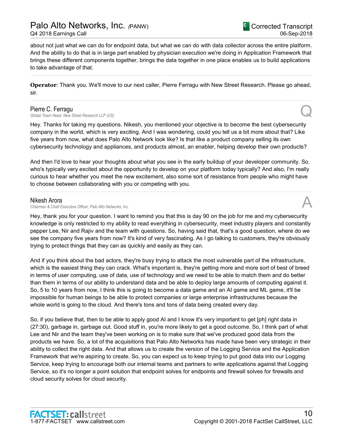about not just what we can do for endpoint data, but what we can do with data collector across the entire platform. And the ability to do that is in large part enabled by physician execution we're doing in Application Framework that brings these different components together, brings the data together in one place enables us to build applications to take advantage of that.

**Operator**: Thank you. We'll move to our next caller, Pierre Ferragu with New Street Research. Please go ahead, sir.

Pierre C. Ferragu<br>Global Team Head, New Street Research LLP (US) **Pierre C. Ferragu<br>Global Team Head, New Street Research LLP (US) Quarter Contract Contract Contract Contract Contract Contract Contract Contract Contract Contract Contract Contract Contract Contract Contract Contract Co** 

Hey. Thanks for taking my questions. Nikesh, you mentioned your objective is to become the best cybersecurity company in the world, which is very exciting. And I was wondering, could you tell us a bit more about that? Like five years from now, what does Palo Alto Network look like? Is that like a product company selling its own cybersecurity technology and appliances, and products almost, an enabler, helping develop their own products?

And then I'd love to hear your thoughts about what you see in the early buildup of your developer community. So, who's typically very excited about the opportunity to develop on your platform today typically? And also, I'm really curious to hear whether you meet the new excitement, also some sort of resistance from people who might have to choose between collaborating with you or competing with you.

#### Nikesh Arora

*Chairman & Chief Executive Officer, Palo Alto Networks, Inc.* A

Hey, thank you for your question. I want to remind you that this is day 90 on the job for me and my cybersecurity knowledge is only restricted to my ability to read everything in cybersecurity, meet industry players and constantly pepper Lee, Nir and Rajiv and the team with questions. So, having said that, that's a good question, where do we see the company five years from now? It's kind of very fascinating. As I go talking to customers, they're obviously trying to protect things that they can as quickly and easily as they can.

And if you think about the bad actors, they're busy trying to attack the most vulnerable part of the infrastructure, which is the easiest thing they can crack. What's important is, they're getting more and more sort of best of breed in terms of user computing, use of data, use of technology and we need to be able to match them and do better than them in terms of our ability to understand data and be able to deploy large amounts of computing against it. So, 5 to 10 years from now, I think this is going to become a data game and an AI game and ML game, it'll be impossible for human beings to be able to protect companies or large enterprise infrastructures because the whole world is going to the cloud. And there's tons and tons of data being created every day.

So, if you believe that, then to be able to apply good AI and I know it's very important to get [ph] right data in (27:30), garbage in, garbage out. Good stuff in, you're more likely to get a good outcome. So, I think part of what Lee and Nir and the team they've been working on is to make sure that we've produced good data from the products we have. So, a lot of the acquisitions that Palo Alto Networks has made have been very strategic in their ability to collect the right data. And that allows us to create the version of the Logging Service and the Application Framework that we're aspiring to create. So, you can expect us to keep trying to put good data into our Logging Service, keep trying to encourage both our internal teams and partners to write applications against that Logging Service, so it's no longer a point solution that endpoint solves for endpoints and firewall solves for firewalls and cloud security solves for cloud security.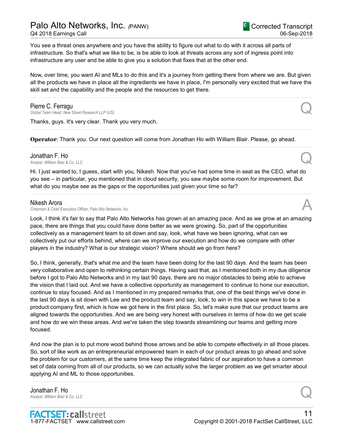You see a threat ones anywhere and you have the ability to figure out what to do with it across all parts of infrastructure. So that's what we like to be, is be able to look at threats across any sort of ingress point into infrastructure any user and be able to give you a solution that fixes that at the other end.

Now, over time, you want AI and MLs to do this and it's a journey from getting there from where we are. But given all the products we have in place all the ingredients we have in place, I'm personally very excited that we have the skill set and the capability and the people and the resources to get there.

Pierre C. Ferragu<br>Global Team Head. New Street Research LLP (US) **Pierre C. Ferragu<br>Global Team Head, New Street Research LLP (US) Quarter Contract Contract Contract Contract Contract Contract Contract Contract Contract Contract Contract Contract Contract Contract Contract Contract Co** 

Thanks, guys. It's very clear. Thank you very much.

**Operator**: Thank you. Our next question will come from Jonathan Ho with William Blair. Please, go ahead.

**Jonathan F. Ho**<br>Analyst, William Blair & Co. LLC **Jonathan F. Ho**<br>Analyst, William Blair & Co. LLC

Hi. I just wanted to, I guess, start with you, Nikesh. Now that you've had some time in seat as the CEO, what do you see – in particular, you mentioned that in cloud security, you saw maybe some room for improvement. But what do you maybe see as the gaps or the opportunities just given your time so far?

#### Nikesh Arora

*Chairman & Chief Executive Officer, Palo Alto Networks, Inc.* A

Look, I think it's fair to say that Palo Alto Networks has grown at an amazing pace. And as we grow at an amazing pace, there are things that you could have done better as we were growing. So, part of the opportunities collectively as a management team to sit down and say, look, what have we been ignoring, what can we collectively put our efforts behind, where can we improve our execution and how do we compare with other players in the industry? What is our strategic vision? Where should we go from here?

So, I think, generally, that's what me and the team have been doing for the last 90 days. And the team has been very collaborative and open to rethinking certain things. Having said that, as I mentioned both in my due diligence before I got to Palo Alto Networks and in my last 90 days, there are no major obstacles to being able to achieve the vision that I laid out. And we have a collective opportunity as management to continue to hone our execution, continue to stay focused. And as I mentioned in my prepared remarks that, one of the best things we've done in the last 90 days is sit down with Lee and the product team and say, look, to win in this space we have to be a product company first, which is how we got here in the first place. So, let's make sure that our product teams are aligned towards the opportunities. And we are being very honest with ourselves in terms of how do we get scale and how do we win these areas. And we've taken the step towards streamlining our teams and getting more focused.

And now the plan is to put more wood behind those arrows and be able to compete effectively in all those places. So, sort of like work as an entrepreneurial empowered team in each of our product areas to go ahead and solve the problem for our customers, at the same time keep the integrated fabric of our aspiration to have a common set of data coming from all of our products, so we can actually solve the larger problem as we get smarter about applying AI and ML to those opportunities.

**Jonathan F. Ho**<br>Analyst. William Blair & Co. LLC **Jonathan F. Ho**<br>Analyst, William Blair & Co. LLC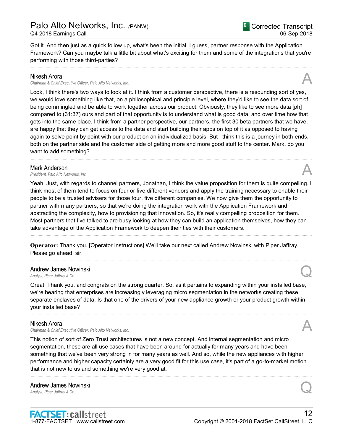Look, I think there's two ways to look at it. I think from a customer perspective, there is a resounding sort of yes,

performing with those third-parties? Nikesh Arora *Chairman & Chief Executive Officer, Palo Alto Networks, Inc.* A

Got it. And then just as a quick follow up, what's been the initial, I guess, partner response with the Application Framework? Can you maybe talk a little bit about what's exciting for them and some of the integrations that you're

we would love something like that, on a philosophical and principle level, where they'd like to see the data sort of being commingled and be able to work together across our product. Obviously, they like to see more data [ph] compared to (31:37) ours and part of that opportunity is to understand what is good data, and over time how that gets into the same place. I think from a partner perspective, our partners, the first 30 beta partners that we have, are happy that they can get access to the data and start building their apps on top of it as opposed to having again to solve point by point with our product on an individualized basis. But I think this is a journey in both ends, both on the partner side and the customer side of getting more and more good stuff to the center. Mark, do you want to add something?

#### Mark Anderson

**Mark Anderson**<br>President, Palo Alto Networks, Inc.

Yeah. Just, with regards to channel partners, Jonathan, I think the value proposition for them is quite compelling. I think most of them tend to focus on four or five different vendors and apply the training necessary to enable their people to be a trusted advisers for those four, five different companies. We now give them the opportunity to partner with many partners, so that we're doing the integration work with the Application Framework and abstracting the complexity, how to provisioning that innovation. So, it's really compelling proposition for them. Most partners that I've talked to are busy looking at how they can build an application themselves, how they can take advantage of the Application Framework to deepen their ties with their customers.

**Operator**: Thank you. [Operator Instructions] We'll take our next called Andrew Nowinski with Piper Jaffray. Please go ahead, sir.

#### Andrew James Nowinski **Andrew James Nowinski**<br>Analyst, Piper Jaffray & Co.

Great. Thank you, and congrats on the strong quarter. So, as it pertains to expanding within your installed base, we're hearing that enterprises are increasingly leveraging micro segmentation in the networks creating these separate enclaves of data. Is that one of the drivers of your new appliance growth or your product growth within your installed base?

#### Nikesh Arora

*Chairman & Chief Executive Officer, Palo Alto Networks, Inc.* A

This notion of sort of Zero Trust architectures is not a new concept. And internal segmentation and micro segmentation, these are all use cases that have been around for actually for many years and have been something that we've been very strong in for many years as well. And so, while the new appliances with higher performance and higher capacity certainly are a very good fit for this use case, it's part of a go-to-market motion that is not new to us and something we're very good at.

Andrew James Nowinski **Andrew James Nowinski**<br>Analyst, Piper Jaffray & Co.





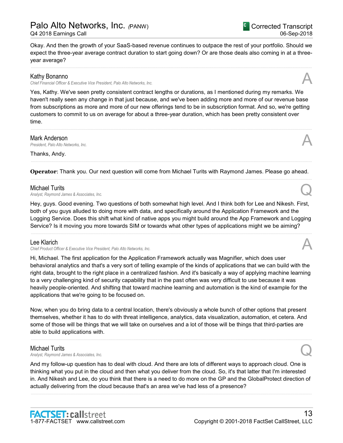Okay. And then the growth of your SaaS-based revenue continues to outpace the rest of your portfolio. Should we expect the three-year average contract duration to start going down? Or are those deals also coming in at a threeyear average?

#### Kathy Bonanno

*Chief Financial Officer & Executive Vice President, Palo Alto Networks, Inc.* A

Yes, Kathy. We've seen pretty consistent contract lengths or durations, as I mentioned during my remarks. We haven't really seen any change in that just because, and we've been adding more and more of our revenue base from subscriptions as more and more of our new offerings tend to be in subscription format. And so, we're getting customers to commit to us on average for about a three-year duration, which has been pretty consistent over time.

#### Mark Anderson

**Mark Anderson**<br>President, Palo Alto Networks, Inc.

Thanks, Andy.

**Operator**: Thank you. Our next question will come from Michael Turits with Raymond James. Please go ahead.

#### Michael Turits

*Analyst, Raymond James & Associates, Inc.* Q

Hey, guys. Good evening. Two questions of both somewhat high level. And I think both for Lee and Nikesh. First, both of you guys alluded to doing more with data, and specifically around the Application Framework and the Logging Service. Does this shift what kind of native apps you might build around the App Framework and Logging Service? Is it moving you more towards SIM or towards what other types of applications might we be aiming?

#### Lee Klarich

*Chief Product Officer & Executive Vice President, Palo Alto Networks, Inc.* A

Hi, Michael. The first application for the Application Framework actually was Magnifier, which does user behavioral analytics and that's a very sort of telling example of the kinds of applications that we can build with the right data, brought to the right place in a centralized fashion. And it's basically a way of applying machine learning to a very challenging kind of security capability that in the past often was very difficult to use because it was heavily people-oriented. And shifting that toward machine learning and automation is the kind of example for the applications that we're going to be focused on.

Now, when you do bring data to a central location, there's obviously a whole bunch of other options that present themselves, whether it has to do with threat intelligence, analytics, data visualization, automation, et cetera. And some of those will be things that we will take on ourselves and a lot of those will be things that third-parties are able to build applications with.

#### Michael Turits

*Analyst, Raymond James & Associates, Inc.* Q

And my follow-up question has to deal with cloud. And there are lots of different ways to approach cloud. One is thinking what you put in the cloud and then what you deliver from the cloud. So, it's that latter that I'm interested in. And Nikesh and Lee, do you think that there is a need to do more on the GP and the GlobalProtect direction of actually delivering from the cloud because that's an area we've had less of a presence?

Corrected Transcript

06-Sep-2018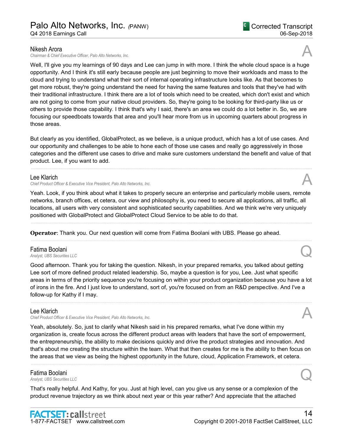#### Nikesh Arora

*Chairman & Chief Executive Officer, Palo Alto Networks, Inc.* A

Well, I'll give you my learnings of 90 days and Lee can jump in with more. I think the whole cloud space is a huge opportunity. And I think it's still early because people are just beginning to move their workloads and mass to the cloud and trying to understand what their sort of internal operating infrastructure looks like. As that becomes to get more robust, they're going understand the need for having the same features and tools that they've had with their traditional infrastructure. I think there are a lot of tools which need to be created, which don't exist and which are not going to come from your native cloud providers. So, they're going to be looking for third-party like us or others to provide those capability. I think that's why I said, there's an area we could do a lot better in. So, we are focusing our speedboats towards that area and you'll hear more from us in upcoming quarters about progress in those areas.

But clearly as you identified, GlobalProtect, as we believe, is a unique product, which has a lot of use cases. And our opportunity and challenges to be able to hone each of those use cases and really go aggressively in those categories and the different use cases to drive and make sure customers understand the benefit and value of that product. Lee, if you want to add.

#### Lee Klarich

*Chief Product Officer & Executive Vice President, Palo Alto Networks, Inc.* A

Yeah. Look, if you think about what it takes to properly secure an enterprise and particularly mobile users, remote networks, branch offices, et cetera, our view and philosophy is, you need to secure all applications, all traffic, all locations, all users with very consistent and sophisticated security capabilities. And we think we're very uniquely positioned with GlobalProtect and GlobalProtect Cloud Service to be able to do that.

**Operator**: Thank you. Our next question will come from Fatima Boolani with UBS. Please go ahead.

### **Fatima Boolani**<br>Analyst, UBS Securities LLC

**Fatima Boolani**<br>Analyst, UBS Securities LLC

Good afternoon. Thank you for taking the question. Nikesh, in your prepared remarks, you talked about getting Lee sort of more defined product related leadership. So, maybe a question is for you, Lee. Just what specific areas in terms of the priority sequence you're focusing on within your product organization because you have a lot of irons in the fire. And I just love to understand, sort of, you're focused on from an R&D perspective. And I've a follow-up for Kathy if I may.

#### Lee Klarich

*Chief Product Officer & Executive Vice President, Palo Alto Networks, Inc.* A

Yeah, absolutely. So, just to clarify what Nikesh said in his prepared remarks, what I've done within my organization is, create focus across the different product areas with leaders that have the sort of empowerment, the entrepreneurship, the ability to make decisions quickly and drive the product strategies and innovation. And that's about me creating the structure within the team. What that then creates for me is the ability to then focus on the areas that we view as being the highest opportunity in the future, cloud, Application Framework, et cetera.

#### Fatima Boolani

**Fatima Boolani**<br>Analyst, UBS Securities LLC

That's really helpful. And Kathy, for you. Just at high level, can you give us any sense or a complexion of the product revenue trajectory as we think about next year or this year rather? And appreciate that the attached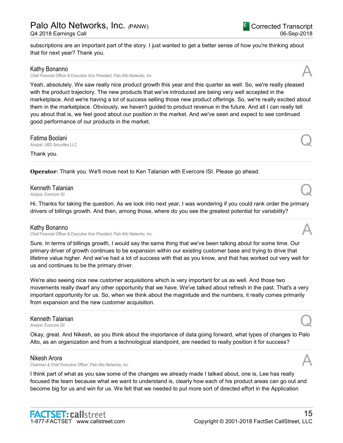subscriptions are an important part of the story. I just wanted to get a better sense of how you're thinking about that for next year? Thank you.

#### Kathy Bonanno

*Chief Financial Officer & Executive Vice President, Palo Alto Networks, Inc.* A

Yeah, absolutely. We saw really nice product growth this year and this quarter as well. So, we're really pleased with the product trajectory. The new products that we've introduced are being very well accepted in the marketplace. And we're having a lot of success selling those new product offerings. So, we're really excited about them in the marketplace. Obviously, we haven't guided to product revenue in the future. And all I can really tell you about that is, we feel good about our position in the market. And we've seen and expect to see continued good performance of our products in the market.

Fatima Boolani

**Fatima Boolani**<br>Analyst, UBS Securities LLC

Thank you.

**Operator**: Thank you. We'll move next to Ken Talanian with Evercore ISI. Please go ahead.

#### Kenneth Talanian *Analyst, Evercore ISI*<br>Analyst, Evercore ISI

Hi. Thanks for taking the question. As we look into next year, I was wondering if you could rank order the primary drivers of billings growth. And then, among those, where do you see the greatest potential for variability?

#### Kathy Bonanno

*Chief Financial Officer & Executive Vice President, Palo Alto Networks, Inc.* A

Sure. In terms of billings growth, I would say the same thing that we've been talking about for some time. Our primary driver of growth continues to be expansion within our existing customer base and trying to drive that lifetime value higher. And we've had a lot of success with that as you know, and that has worked out very well for us and continues to be the primary driver.

We're also seeing nice new customer acquisitions which is very important for us as well. And those two movements really dwarf any other opportunity that we have. We've talked about refresh in the past. That's a very important opportunity for us. So, when we think about the magnitude and the numbers, it really comes primarily from expansion and the new customer acquisition.

#### Kenneth Talanian *Analyst, Evercore ISI* Q<br>Analyst, Evercore ISI

Okay, great. And Nikesh, as you think about the importance of data going forward, what types of changes to Palo Alto, as an organization and from a technological standpoint, are needed to really position it for success?

#### Nikesh Arora

*Chairman & Chief Executive Officer, Palo Alto Networks, Inc.* A

I think part of what as you saw some of the changes we already made I talked about, one is, Lee has really focused the team because what we want to understand is, clearly how each of his product areas can go out and become big for us and win for us. We felt that we needed to put more sort of directed effort in the Application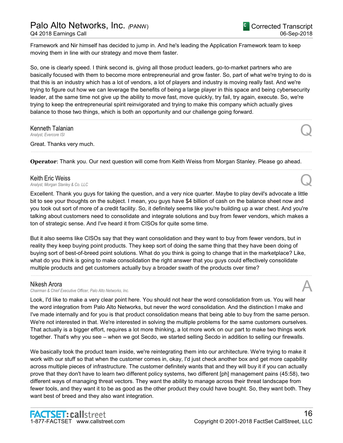Framework and Nir himself has decided to jump in. And he's leading the Application Framework team to keep moving them in line with our strategy and move them faster.

So, one is clearly speed. I think second is, giving all those product leaders, go-to-market partners who are basically focused with them to become more entrepreneurial and grow faster. So, part of what we're trying to do is that this is an industry which has a lot of vendors, a lot of players and industry is moving really fast. And we're trying to figure out how we can leverage the benefits of being a large player in this space and being cybersecurity leader, at the same time not give up the ability to move fast, move quickly, try fail, try again, execute. So, we're trying to keep the entrepreneurial spirit reinvigorated and trying to make this company which actually gives balance to those two things, which is both an opportunity and our challenge going forward.

**Kenneth Talanian**<br>Analyst, Evercore ISI *Analyst, Evercore ISI*<br>Analyst, Evercore ISI

Great. Thanks very much.

**Operator**: Thank you. Our next question will come from Keith Weiss from Morgan Stanley. Please go ahead.

#### **Keith Eric Weiss**<br>Analyst, Morgan Stanley & Co. LLC *Analyst, Morgan Stanley & Co. LLC* Q

Excellent. Thank you guys for taking the question, and a very nice quarter. Maybe to play devil's advocate a little bit to see your thoughts on the subject. I mean, you guys have \$4 billion of cash on the balance sheet now and you took out sort of more of a credit facility. So, it definitely seems like you're building up a war chest. And you're talking about customers need to consolidate and integrate solutions and buy from fewer vendors, which makes a ton of strategic sense. And I've heard it from CISOs for quite some time.

But it also seems like CISOs say that they want consolidation and they want to buy from fewer vendors, but in reality they keep buying point products. They keep sort of doing the same thing that they have been doing of buying sort of best-of-breed point solutions. What do you think is going to change that in the marketplace? Like, what do you think is going to make consolidation the right answer that you guys could effectively consolidate multiple products and get customers actually buy a broader swath of the products over time?

#### Nikesh Arora

*Chairman & Chief Executive Officer, Palo Alto Networks, Inc.* A

Look, I'd like to make a very clear point here. You should not hear the word consolidation from us. You will hear the word integration from Palo Alto Networks, but never the word consolidation. And the distinction I make and I've made internally and for you is that product consolidation means that being able to buy from the same person. We're not interested in that. We're interested in solving the multiple problems for the same customers ourselves. That actually is a bigger effort, requires a lot more thinking, a lot more work on our part to make two things work together. That's why you see – when we got Secdo, we started selling Secdo in addition to selling our firewalls.

We basically took the product team inside, we're reintegrating them into our architecture. We're trying to make it work with our stuff so that when the customer comes in, okay, I'd just check another box and get more capability across multiple pieces of infrastructure. The customer definitely wants that and they will buy it if you can actually prove that they don't have to learn two different policy systems, two different [ph] management pains (45:58), two different ways of managing threat vectors. They want the ability to manage across their threat landscape from fewer tools, and they want it to be as good as the other product they could have bought. So, they want both. They want best of breed and they also want integration.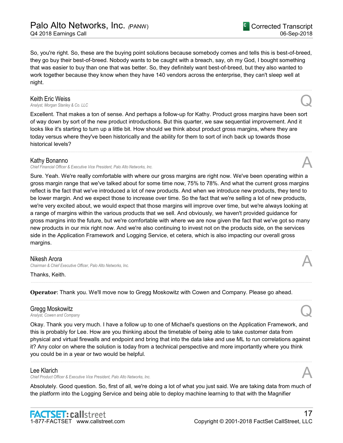So, you're right. So, these are the buying point solutions because somebody comes and tells this is best-of-breed, they go buy their best-of-breed. Nobody wants to be caught with a breach, say, oh my God, I bought something that was easier to buy than one that was better. So, they definitely want best-of-breed, but they also wanted to work together because they know when they have 140 vendors across the enterprise, they can't sleep well at night.

#### Keith Eric Weiss

*Analyst, Morgan Stanley & Co. LLC* Q

Excellent. That makes a ton of sense. And perhaps a follow-up for Kathy. Product gross margins have been sort of way down by sort of the new product introductions. But this quarter, we saw sequential improvement. And it looks like it's starting to turn up a little bit. How should we think about product gross margins, where they are today versus where they've been historically and the ability for them to sort of inch back up towards those historical levels?

#### Kathy Bonanno

*Chief Financial Officer & Executive Vice President, Palo Alto Networks, Inc.* A

Sure. Yeah. We're really comfortable with where our gross margins are right now. We've been operating within a gross margin range that we've talked about for some time now, 75% to 78%. And what the current gross margins reflect is the fact that we've introduced a lot of new products. And when we introduce new products, they tend to be lower margin. And we expect those to increase over time. So the fact that we're selling a lot of new products, we're very excited about, we would expect that those margins will improve over time, but we're always looking at a range of margins within the various products that we sell. And obviously, we haven't provided guidance for gross margins into the future, but we're comfortable with where we are now given the fact that we've got so many new products in our mix right now. And we're also continuing to invest not on the products side, on the services side in the Application Framework and Logging Service, et cetera, which is also impacting our overall gross margins.

#### Nikesh Arora

*Chairman & Chief Executive Officer, Palo Alto Networks, Inc.* A

Thanks, Keith.

**Operator**: Thank you. We'll move now to Gregg Moskowitz with Cowen and Company. Please go ahead.

#### Gregg Moskowitz *Analyst, Cowen and Company* Q

Okay. Thank you very much. I have a follow up to one of Michael's questions on the Application Framework, and this is probably for Lee. How are you thinking about the timetable of being able to take customer data from physical and virtual firewalls and endpoint and bring that into the data lake and use ML to run correlations against it? Any color on where the solution is today from a technical perspective and more importantly where you think you could be in a year or two would be helpful.

#### Lee Klarich

*Chief Product Officer & Executive Vice President, Palo Alto Networks, Inc.* A

Absolutely. Good question. So, first of all, we're doing a lot of what you just said. We are taking data from much of the platform into the Logging Service and being able to deploy machine learning to that with the Magnifier

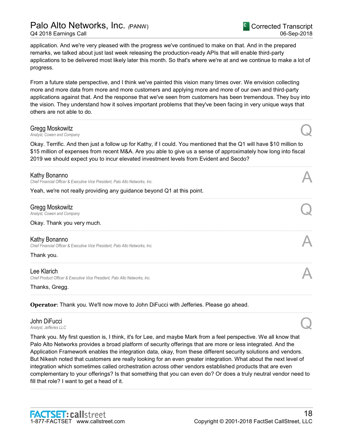application. And we're very pleased with the progress we've continued to make on that. And in the prepared remarks, we talked about just last week releasing the production-ready APIs that will enable third-party applications to be delivered most likely later this month. So that's where we're at and we continue to make a lot of progress.

From a future state perspective, and I think we've painted this vision many times over. We envision collecting more and more data from more and more customers and applying more and more of our own and third-party applications against that. And the response that we've seen from customers has been tremendous. They buy into the vision. They understand how it solves important problems that they've been facing in very unique ways that others are not able to do.

#### **Gregg Moskowitz**<br>Analyst, Cowen and Company *Analyst, Cowen and Company* Q

Okay. Terrific. And then just a follow up for Kathy, if I could. You mentioned that the Q1 will have \$10 million to \$15 million of expenses from recent M&A. Are you able to give us a sense of approximately how long into fiscal 2019 we should expect you to incur elevated investment levels from Evident and Secdo?

#### Kathy Bonanno

*Chief Financial Officer & Executive Vice President, Palo Alto Networks, Inc.* A

Yeah, we're not really providing any guidance beyond Q1 at this point.

#### Gregg Moskowitz *Analyst, Cowen and Company* Q

Okay. Thank you very much.

#### Kathy Bonanno

*Chief Financial Officer & Executive Vice President, Palo Alto Networks, Inc.* A

#### Thank you.

Lee Klarich

*Chief Product Officer & Executive Vice President, Palo Alto Networks, Inc.* A

#### Thanks, Gregg.

**Operator**: Thank you. We'll now move to John DiFucci with Jefferies. Please go ahead.

#### John DiFucci *Analyst, Jefferies LLC* Q

Thank you. My first question is, I think, it's for Lee, and maybe Mark from a feel perspective. We all know that Palo Alto Networks provides a broad platform of security offerings that are more or less integrated. And the Application Framework enables the integration data, okay, from these different security solutions and vendors. But Nikesh noted that customers are really looking for an even greater integration. What about the next level of integration which sometimes called orchestration across other vendors established products that are even complementary to your offerings? Is that something that you can even do? Or does a truly neutral vendor need to fill that role? I want to get a head of it.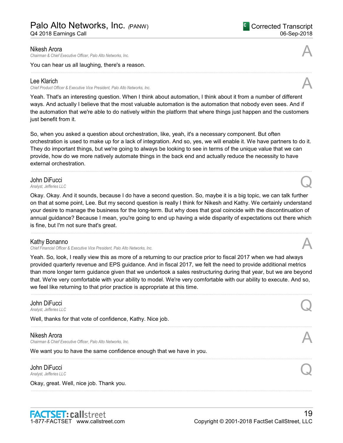*Chairman & Chief Executive Officer, Palo Alto Networks, Inc.* A

You can hear us all laughing, there's a reason.

#### Lee Klarich

*Chief Product Officer & Executive Vice President, Palo Alto Networks, Inc.* A

Yeah. That's an interesting question. When I think about automation, I think about it from a number of different ways. And actually I believe that the most valuable automation is the automation that nobody even sees. And if the automation that we're able to do natively within the platform that where things just happen and the customers just benefit from it.

So, when you asked a question about orchestration, like, yeah, it's a necessary component. But often orchestration is used to make up for a lack of integration. And so, yes, we will enable it. We have partners to do it. They do important things, but we're going to always be looking to see in terms of the unique value that we can provide, how do we more natively automate things in the back end and actually reduce the necessity to have external orchestration.

#### John DiFucci *Analyst, Jefferies LLC* Q

Okay. Okay. And it sounds, because I do have a second question. So, maybe it is a big topic, we can talk further on that at some point, Lee. But my second question is really I think for Nikesh and Kathy. We certainly understand your desire to manage the business for the long-term. But why does that goal coincide with the discontinuation of annual guidance? Because I mean, you're going to end up having a wide disparity of expectations out there which is fine, but I'm not sure that's great.

#### Kathy Bonanno

*Chief Financial Officer & Executive Vice President, Palo Alto Networks, Inc.* A

Yeah. So, look, I really view this as more of a returning to our practice prior to fiscal 2017 when we had always provided quarterly revenue and EPS guidance. And in fiscal 2017, we felt the need to provide additional metrics than more longer term guidance given that we undertook a sales restructuring during that year, but we are beyond that. We're very comfortable with your ability to model. We're very comfortable with our ability to execute. And so, we feel like returning to that prior practice is appropriate at this time.

| John DiFucci<br>Analyst, Jefferies LLC                                       |  |
|------------------------------------------------------------------------------|--|
| Well, thanks for that vote of confidence, Kathy. Nice job.                   |  |
| Nikesh Arora<br>Chairman & Chief Executive Officer. Palo Alto Networks. Inc. |  |
| We want you to have the same confidence enough that we have in you.          |  |
| John DiFucci<br>Analyst, Jefferies LLC                                       |  |
| Okay, great. Well, nice job. Thank you.                                      |  |

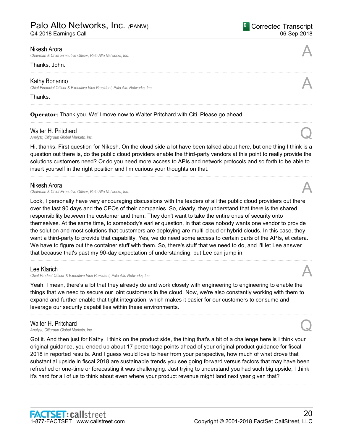## Palo Alto Networks, Inc. *(*PANW)

Q4 2018 Earnings Call

#### Corrected Transcript 06-Sep-2018

#### Nikesh Arora

*Chairman & Chief Executive Officer, Palo Alto Networks, Inc.* A

#### Thanks, John.

#### Kathy Bonanno

*Chief Financial Officer & Executive Vice President, Palo Alto Networks, Inc.* A

#### Thanks.

**Operator**: Thank you. We'll move now to Walter Pritchard with Citi. Please go ahead.

#### Walter H. Pritchard

*Analyst, Citigroup Global Markets, Inc.* Q

Hi, thanks. First question for Nikesh. On the cloud side a lot have been talked about here, but one thing I think is a question out there is, do the public cloud providers enable the third-party vendors at this point to really provide the solutions customers need? Or do you need more access to APIs and network protocols and so forth to be able to insert yourself in the right position and I'm curious your thoughts on that.

#### Nikesh Arora

*Chairman & Chief Executive Officer, Palo Alto Networks, Inc.* A

Look, I personally have very encouraging discussions with the leaders of all the public cloud providers out there over the last 90 days and the CEOs of their companies. So, clearly, they understand that there is the shared responsibility between the customer and them. They don't want to take the entire onus of security onto themselves. At the same time, to somebody's earlier question, in that case nobody wants one vendor to provide the solution and most solutions that customers are deploying are multi-cloud or hybrid clouds. In this case, they want a third-party to provide that capability. Yes, we do need some access to certain parts of the APIs, et cetera. We have to figure out the container stuff with them. So, there's stuff that we need to do, and I'll let Lee answer that because that's past my 90-day expectation of understanding, but Lee can jump in.

#### Lee Klarich

*Chief Product Officer & Executive Vice President, Palo Alto Networks, Inc.* A

Yeah. I mean, there's a lot that they already do and work closely with engineering to engineering to enable the things that we need to secure our joint customers in the cloud. Now, we're also constantly working with them to expand and further enable that tight integration, which makes it easier for our customers to consume and leverage our security capabilities within these environments.

#### Walter H. Pritchard

*Analyst, Citigroup Global Markets, Inc.* Q

Got it. And then just for Kathy. I think on the product side, the thing that's a bit of a challenge here is I think your original guidance, you ended up about 17 percentage points ahead of your original product guidance for fiscal 2018 in reported results. And I guess would love to hear from your perspective, how much of what drove that substantial upside in fiscal 2018 are sustainable trends you see going forward versus factors that may have been refreshed or one-time or forecasting it was challenging. Just trying to understand you had such big upside, I think it's hard for all of us to think about even where your product revenue might land next year given that?







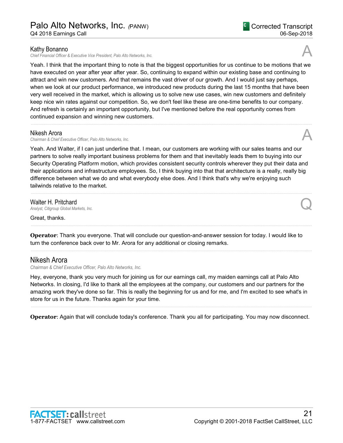Q4 2018 Earnings Call

#### <sup>C</sup> Corrected Transcript 06-Sep-2018

#### Kathy Bonanno

*Chief Financial Officer & Executive Vice President, Palo Alto Networks, Inc.* A

Yeah. I think that the important thing to note is that the biggest opportunities for us continue to be motions that we have executed on year after year after year. So, continuing to expand within our existing base and continuing to attract and win new customers. And that remains the vast driver of our growth. And I would just say perhaps, when we look at our product performance, we introduced new products during the last 15 months that have been very well received in the market, which is allowing us to solve new use cases, win new customers and definitely keep nice win rates against our competition. So, we don't feel like these are one-time benefits to our company. And refresh is certainly an important opportunity, but I've mentioned before the real opportunity comes from continued expansion and winning new customers.

#### Nikesh Arora

*Chairman & Chief Executive Officer, Palo Alto Networks, Inc.* A

Yeah. And Walter, if I can just underline that. I mean, our customers are working with our sales teams and our partners to solve really important business problems for them and that inevitably leads them to buying into our Security Operating Platform motion, which provides consistent security controls wherever they put their data and their applications and infrastructure employees. So, I think buying into that that architecture is a really, really big difference between what we do and what everybody else does. And I think that's why we're enjoying such tailwinds relative to the market.

Walter H. Pritchard<br>Analyst, Citigroup Global Markets, Inc. *Analyst, Citigroup Global Markets, Inc.* Q

Great, thanks.

**Operator**: Thank you everyone. That will conclude our question-and-answer session for today. I would like to turn the conference back over to Mr. Arora for any additional or closing remarks.

#### Nikesh Arora

*Chairman & Chief Executive Officer, Palo Alto Networks, Inc.*

Hey, everyone, thank you very much for joining us for our earnings call, my maiden earnings call at Palo Alto Networks. In closing, I'd like to thank all the employees at the company, our customers and our partners for the amazing work they've done so far. This is really the beginning for us and for me, and I'm excited to see what's in store for us in the future. Thanks again for your time.

**Operator**: Again that will conclude today's conference. Thank you all for participating. You may now disconnect.